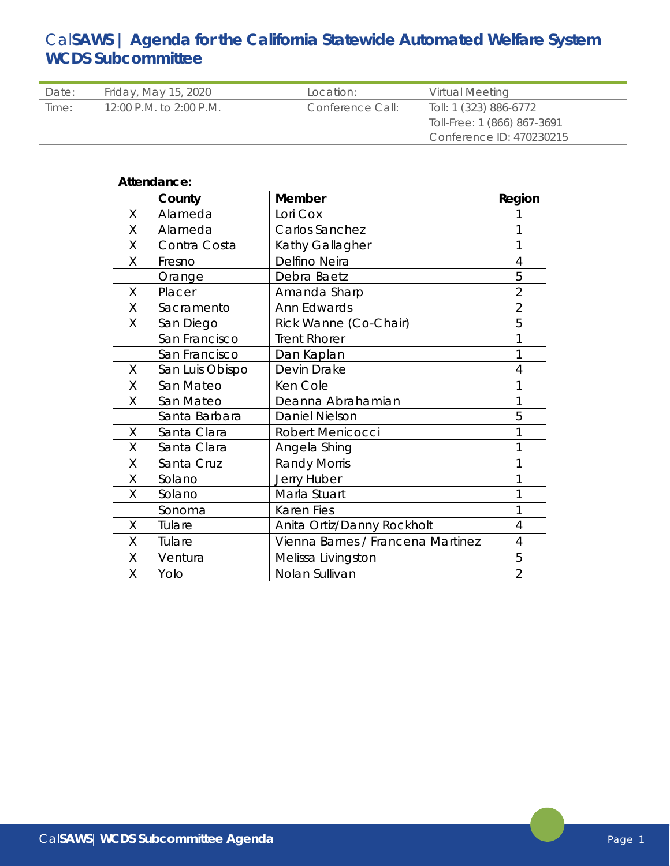# Cal**SAWS | Agenda for the California Statewide Automated Welfare System WCDS Subcommittee**

| Date: | Friday, May 15, 2020    | Location:        | Virtual Meeting                                       |
|-------|-------------------------|------------------|-------------------------------------------------------|
| Time: | 12:00 P.M. to 2:00 P.M. | Conference Call: | Toll: 1 (323) 886-6772<br>Toll-Free: 1 (866) 867-3691 |
|       |                         |                  | Conference ID: 470230215                              |

# **Attendance:**

|   | County          | Member                            | Region         |
|---|-----------------|-----------------------------------|----------------|
| X | Alameda         | Lori Cox                          | 1              |
| Χ | Alameda         | Carlos Sanchez                    | 1              |
| Χ | Contra Costa    | Kathy Gallagher                   | 1              |
| X | Fresno          | Delfino Neira                     | $\overline{4}$ |
|   | Orange          | Debra Baetz                       | 5              |
| X | Placer          | Amanda Sharp                      | $\overline{2}$ |
| X | Sacramento      | Ann Edwards                       | $\overline{2}$ |
| Χ | San Diego       | Rick Wanne (Co-Chair)             | 5              |
|   | San Francisco   | <b>Trent Rhorer</b>               | 1              |
|   | San Francisco   | Dan Kaplan                        | 1              |
| X | San Luis Obispo | Devin Drake                       | $\overline{4}$ |
| X | San Mateo       | Ken Cole                          | 1              |
| Χ | San Mateo       | Deanna Abrahamian                 | 1              |
|   | Santa Barbara   | Daniel Nielson                    | 5              |
| Χ | Santa Clara     | Robert Menicocci                  | 1              |
| Χ | Santa Clara     | Angela Shing                      | 1              |
| Χ | Santa Cruz      | <b>Randy Morris</b>               | 1              |
| Χ | Solano          | Jerry Huber                       | 1              |
| X | Solano          | Marla Stuart                      | 1              |
|   | Sonoma          | <b>Karen Fies</b>                 | 1              |
| X | Tulare          | Anita Ortiz/Danny Rockholt        | $\overline{4}$ |
| X | Tulare          | Vienna Barnes / Francena Martinez | $\overline{4}$ |
| X | Ventura         | Melissa Livingston                | 5              |
| Χ | Yolo            | Nolan Sullivan                    | $\overline{2}$ |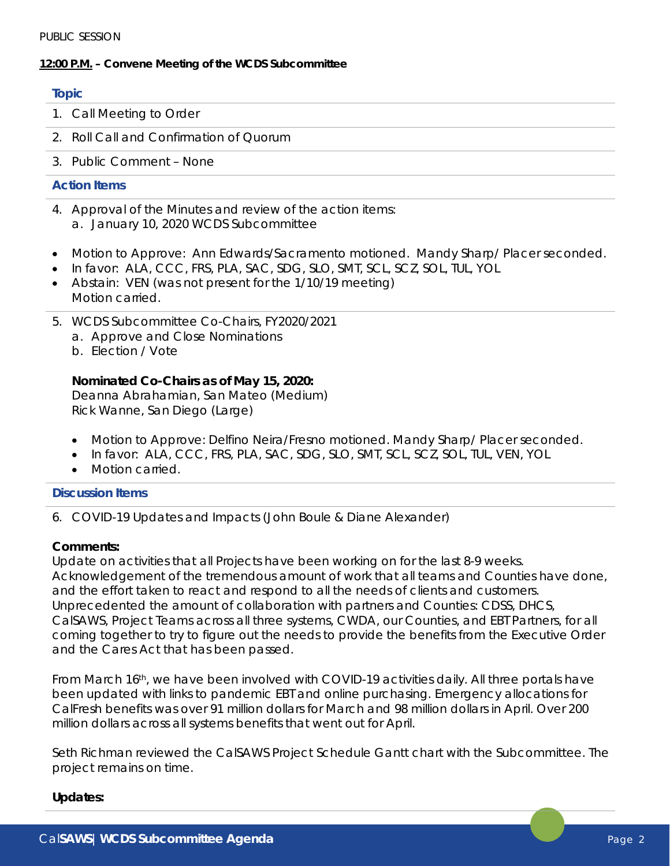# **12:00 P.M. – Convene Meeting of the WCDS Subcommittee**

#### **Topic**

- 1. Call Meeting to Order
- 2. Roll Call and Confirmation of Quorum
- 3. Public Comment None

# **Action Items**

- 4. Approval of the Minutes and review of the action items: a. January 10, 2020 WCDS Subcommittee
- Motion to Approve: Ann Edwards/Sacramento motioned. Mandy Sharp/ Placer seconded.
- In favor: ALA, CCC, FRS, PLA, SAC, SDG, SLO, SMT, SCL, SCZ, SOL, TUL, YOL
- Abstain: VEN (was not present for the 1/10/19 meeting) Motion carried.
- 5. WCDS Subcommittee Co-Chairs, FY2020/2021
	- a. Approve and Close Nominations
	- b. Election / Vote

# **Nominated Co-Chairs as of May 15, 2020:**

Deanna Abrahamian, San Mateo (Medium) Rick Wanne, San Diego (Large)

- Motion to Approve: Delfino Neira/Fresno motioned. Mandy Sharp/ Placer seconded.
- In favor: ALA, CCC, FRS, PLA, SAC, SDG, SLO, SMT, SCL, SCZ, SOL, TUL, VEN, YOL
- Motion carried

# **Discussion Items**

6. COVID-19 Updates and Impacts (John Boule & Diane Alexander)

# **Comments:**

Update on activities that all Projects have been working on for the last 8-9 weeks. Acknowledgement of the tremendous amount of work that all teams and Counties have done, and the effort taken to react and respond to all the needs of clients and customers. Unprecedented the amount of collaboration with partners and Counties: CDSS, DHCS, CalSAWS, Project Teams across all three systems, CWDA, our Counties, and EBT Partners, for all coming together to try to figure out the needs to provide the benefits from the Executive Order and the Cares Act that has been passed.

From March 16th, we have been involved with COVID-19 activities daily. All three portals have been updated with links to pandemic EBT and online purchasing. Emergency allocations for CalFresh benefits was over 91 million dollars for March and 98 million dollars in April. Over 200 million dollars across all systems benefits that went out for April.

Seth Richman reviewed the CalSAWS Project Schedule Gantt chart with the Subcommittee. The project remains on time.

# **Updates:**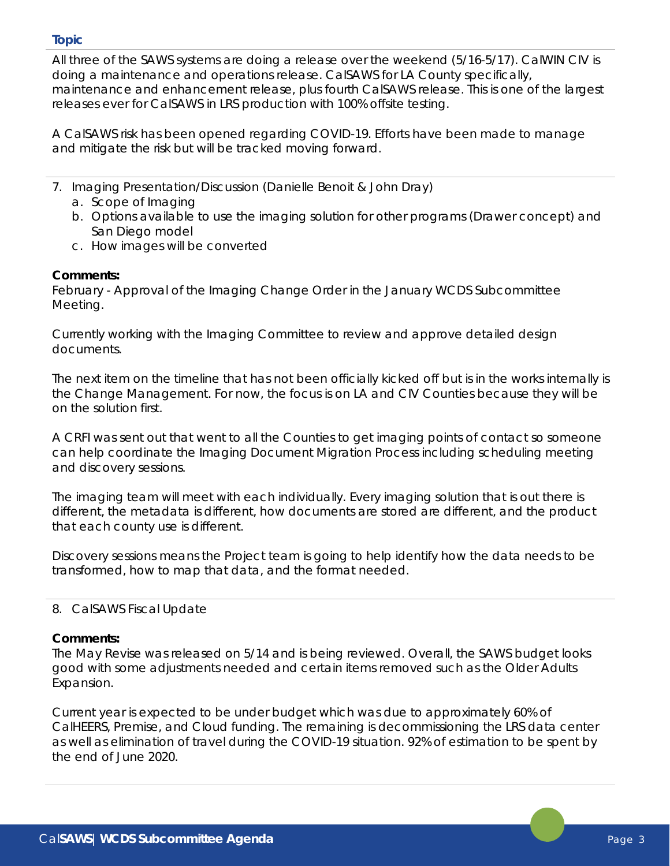#### **Topic**

All three of the SAWS systems are doing a release over the weekend (5/16-5/17). CalWIN CIV is doing a maintenance and operations release. CalSAWS for LA County specifically, maintenance and enhancement release, plus fourth CalSAWS release. This is one of the largest releases ever for CalSAWS in LRS production with 100% offsite testing.

A CalSAWS risk has been opened regarding COVID-19. Efforts have been made to manage and mitigate the risk but will be tracked moving forward.

- 7. Imaging Presentation/Discussion (Danielle Benoit & John Dray)
	- a. Scope of Imaging
	- b. Options available to use the imaging solution for other programs (Drawer concept) and San Diego model
	- c. How images will be converted

# **Comments:**

February - Approval of the Imaging Change Order in the January WCDS Subcommittee Meeting.

Currently working with the Imaging Committee to review and approve detailed design documents.

The next item on the timeline that has not been officially kicked off but is in the works internally is the Change Management. For now, the focus is on LA and CIV Counties because they will be on the solution first.

A CRFI was sent out that went to all the Counties to get imaging points of contact so someone can help coordinate the Imaging Document Migration Process including scheduling meeting and discovery sessions.

The imaging team will meet with each individually. Every imaging solution that is out there is different, the metadata is different, how documents are stored are different, and the product that each county use is different.

Discovery sessions means the Project team is going to help identify how the data needs to be transformed, how to map that data, and the format needed.

# 8. CalSAWS Fiscal Update

#### **Comments:**

The May Revise was released on 5/14 and is being reviewed. Overall, the SAWS budget looks good with some adjustments needed and certain items removed such as the Older Adults Expansion.

Current year is expected to be under budget which was due to approximately 60% of CalHEERS, Premise, and Cloud funding. The remaining is decommissioning the LRS data center as well as elimination of travel during the COVID-19 situation. 92% of estimation to be spent by the end of June 2020.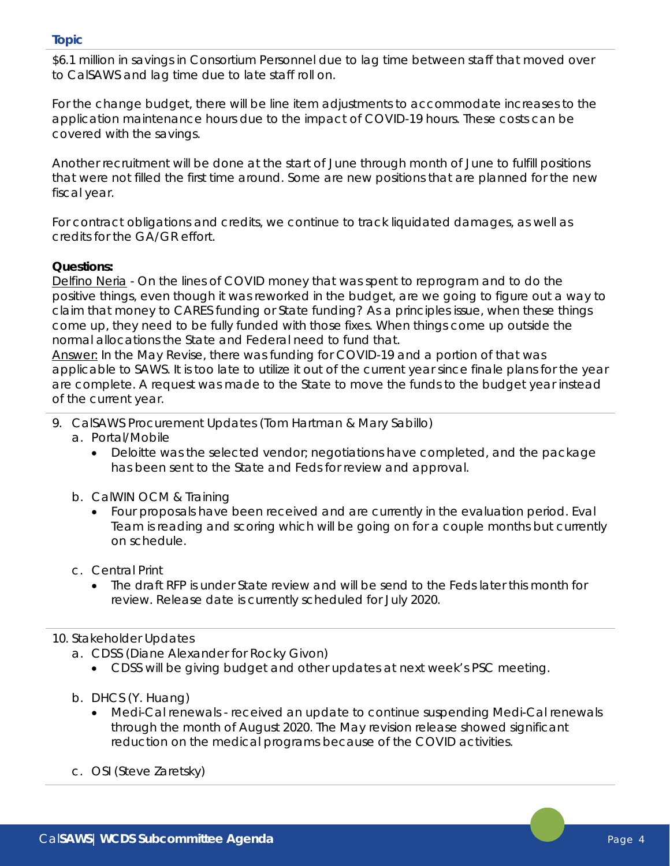#### **Topic**

\$6.1 million in savings in Consortium Personnel due to lag time between staff that moved over to CalSAWS and lag time due to late staff roll on.

For the change budget, there will be line item adjustments to accommodate increases to the application maintenance hours due to the impact of COVID-19 hours. These costs can be covered with the savings.

Another recruitment will be done at the start of June through month of June to fulfill positions that were not filled the first time around. Some are new positions that are planned for the new fiscal year.

For contract obligations and credits, we continue to track liquidated damages, as well as credits for the GA/GR effort.

# **Questions:**

Delfino Neria - On the lines of COVID money that was spent to reprogram and to do the positive things, even though it was reworked in the budget, are we going to figure out a way to claim that money to CARES funding or State funding? As a principles issue, when these things come up, they need to be fully funded with those fixes. When things come up outside the normal allocations the State and Federal need to fund that.

Answer: In the May Revise, there was funding for COVID-19 and a portion of that was applicable to SAWS. It is too late to utilize it out of the current year since finale plans for the year are complete. A request was made to the State to move the funds to the budget year instead of the current year.

- 9. CalSAWS Procurement Updates (Tom Hartman & Mary Sabillo)
	- a. Portal/Mobile
		- Deloitte was the selected vendor; negotiations have completed, and the package has been sent to the State and Feds for review and approval.
	- b. CalWIN OCM & Training
		- Four proposals have been received and are currently in the evaluation period. Eval Team is reading and scoring which will be going on for a couple months but currently on schedule.
	- c. Central Print
		- The draft RFP is under State review and will be send to the Feds later this month for review. Release date is currently scheduled for July 2020.

#### 10. Stakeholder Updates

- a. CDSS (Diane Alexander for Rocky Givon)
	- CDSS will be giving budget and other updates at next week's PSC meeting.
- b. DHCS (Y. Huang)
	- Medi-Cal renewals received an update to continue suspending Medi-Cal renewals through the month of August 2020. The May revision release showed significant reduction on the medical programs because of the COVID activities.
- c. OSI (Steve Zaretsky)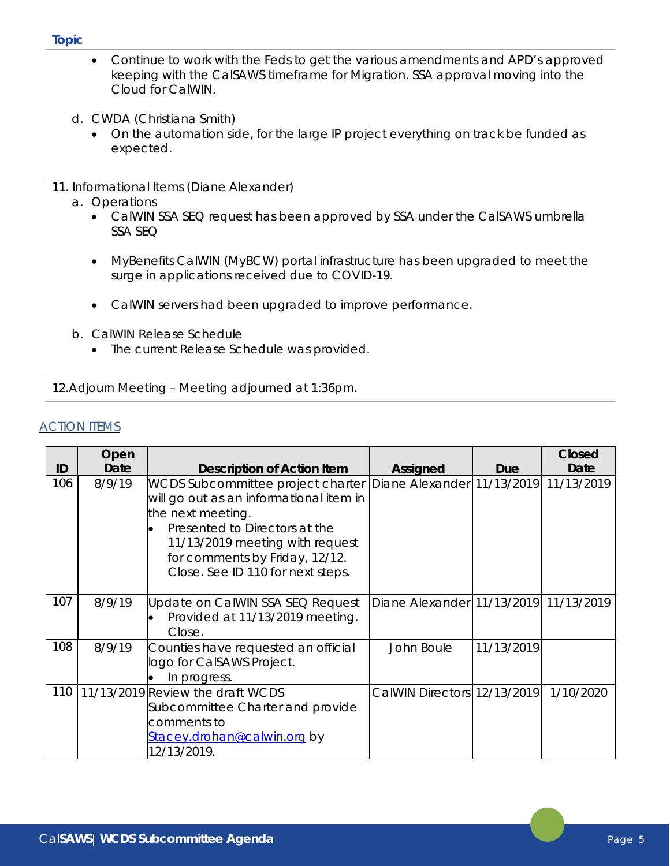#### **Topic**

- Continue to work with the Feds to get the various amendments and APD's approved keeping with the CalSAWS timeframe for Migration. SSA approval moving into the Cloud for CalWIN.
- d. CWDA (Christiana Smith)
	- On the automation side, for the large IP project everything on track be funded as expected.
- 11. Informational Items (Diane Alexander)
	- a. Operations
		- CalWIN SSA SEQ request has been approved by SSA under the CalSAWS umbrella SSA SEQ
		- MyBenefits CalWIN (MyBCW) portal infrastructure has been upgraded to meet the surge in applications received due to COVID-19.
		- CalWIN servers had been upgraded to improve performance.
	- b. CalWIN Release Schedule
		- The current Release Schedule was provided.

12.Adjourn Meeting – Meeting adjourned at 1:36pm.

# **ACTION ITEMS**

|     | Open   |                                                                                                                                                                                                                                              |                                       |            | <b>Closed</b> |
|-----|--------|----------------------------------------------------------------------------------------------------------------------------------------------------------------------------------------------------------------------------------------------|---------------------------------------|------------|---------------|
| ID  | Date   | <b>Description of Action Item</b>                                                                                                                                                                                                            | <b>Assigned</b>                       | Due        | Date          |
| 106 | 8/9/19 | WCDS Subcommittee project charter<br>will go out as an informational item in<br>the next meeting.<br>Presented to Directors at the<br>11/13/2019 meeting with request<br>for comments by Friday, 12/12.<br>Close. See ID 110 for next steps. | Diane Alexander 11/13/2019            |            | 11/13/2019    |
| 107 | 8/9/19 | Update on CalWIN SSA SEQ Request<br>Provided at 11/13/2019 meeting.<br>Close.                                                                                                                                                                | Diane Alexander 11/13/2019 11/13/2019 |            |               |
| 108 | 8/9/19 | Counties have requested an official<br>logo for CalSAWS Project.<br>In progress.                                                                                                                                                             | John Boule                            | 11/13/2019 |               |
| 110 |        | 11/13/2019 Review the draft WCDS<br>Subcommittee Charter and provide<br>comments to<br>Stacey.drohan@calwin.org by<br>12/13/2019.                                                                                                            | CalWIN Directors 12/13/2019           |            | 1/10/2020     |